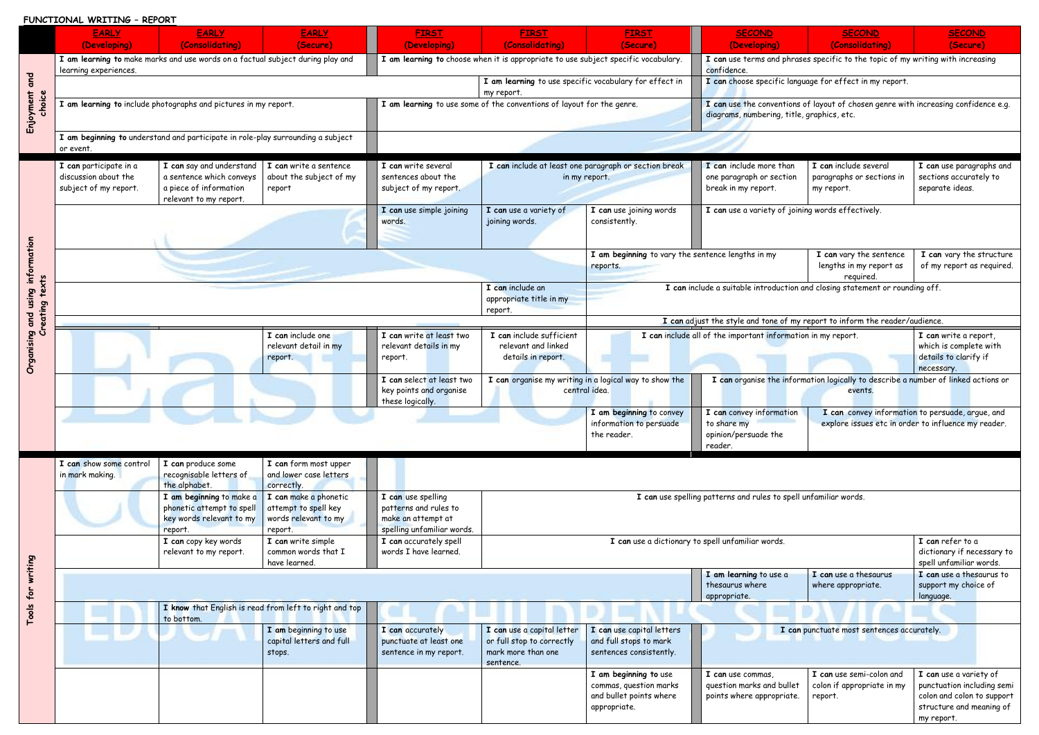|                     | FUNCTIONAL WRITING - REPORT                                                                                                            |                                                                                                          |                                                                                  |                                                                                                                                                                     |                                                                                            |                                                                                                                              |                                                                                                                                   |                                                                                               |                                                                                                                              |
|---------------------|----------------------------------------------------------------------------------------------------------------------------------------|----------------------------------------------------------------------------------------------------------|----------------------------------------------------------------------------------|---------------------------------------------------------------------------------------------------------------------------------------------------------------------|--------------------------------------------------------------------------------------------|------------------------------------------------------------------------------------------------------------------------------|-----------------------------------------------------------------------------------------------------------------------------------|-----------------------------------------------------------------------------------------------|------------------------------------------------------------------------------------------------------------------------------|
|                     | <b>EARLY</b><br>(Developing)                                                                                                           | <b>EARLY</b><br>(Consolidating)                                                                          | <b>EARLY</b><br>(Secure)                                                         | <b>FIRST</b><br>(Developing)                                                                                                                                        | <b>FIRST</b><br>(Consolidating)                                                            | <b>FIRST</b><br>(Secure)                                                                                                     | <b>SECOND</b><br>(Developing)                                                                                                     | <b>SECOND</b><br>(Consolidating)                                                              | <b>SECOND</b><br>(Secure)                                                                                                    |
| gup                 | I am learning to make marks and use words on a factual subject during play and<br>learning experiences.                                |                                                                                                          |                                                                                  | I am learning to choose when it is appropriate to use subject specific vocabulary.                                                                                  |                                                                                            |                                                                                                                              | I can use terms and phrases specific to the topic of my writing with increasing<br>confidence.                                    |                                                                                               |                                                                                                                              |
|                     |                                                                                                                                        |                                                                                                          |                                                                                  |                                                                                                                                                                     | my report.                                                                                 | I am learning to use specific vocabulary for effect in                                                                       |                                                                                                                                   | I can choose specific language for effect in my report.                                       |                                                                                                                              |
| Enjoyment<br>choice | I am learning to include photographs and pictures in my report.                                                                        |                                                                                                          |                                                                                  | I am learning to use some of the conventions of layout for the genre.                                                                                               |                                                                                            |                                                                                                                              | I can use the conventions of layout of chosen genre with increasing confidence e.g.<br>diagrams, numbering, title, graphics, etc. |                                                                                               |                                                                                                                              |
|                     | I am beginning to understand and participate in role-play surrounding a subject<br>or event.                                           |                                                                                                          |                                                                                  |                                                                                                                                                                     |                                                                                            |                                                                                                                              |                                                                                                                                   |                                                                                               |                                                                                                                              |
|                     | I can participate in a<br>discussion about the<br>subject of my report.                                                                | I can say and understand<br>a sentence which conveys<br>a piece of information<br>relevant to my report. | I can write a sentence<br>about the subject of my<br>report                      | I can write several<br>sentences about the<br>subject of my report.                                                                                                 |                                                                                            | I can include at least one paragraph or section break<br>in my report.                                                       | I can include more than<br>one paragraph or section<br>break in my report.                                                        | I can include several<br>paragraphs or sections in<br>my report.                              | I can use paragraphs and<br>sections accurately to<br>separate ideas.                                                        |
|                     |                                                                                                                                        |                                                                                                          |                                                                                  | I can use simple joining<br>words.                                                                                                                                  | I can use a variety of<br>joining words.                                                   | I can use joining words<br>consistently.                                                                                     | I can use a variety of joining words effectively.                                                                                 |                                                                                               |                                                                                                                              |
| information         |                                                                                                                                        |                                                                                                          |                                                                                  |                                                                                                                                                                     |                                                                                            | I am beginning to vary the sentence lengths in my<br>reports.                                                                |                                                                                                                                   | I can vary the sentence<br>lengths in my report as<br>required.                               | I can vary the structure<br>of my report as required.                                                                        |
| Duisn<br>ating      | I can include an<br>I can include a suitable introduction and closing statement or rounding off.<br>appropriate title in my<br>report. |                                                                                                          |                                                                                  |                                                                                                                                                                     |                                                                                            |                                                                                                                              |                                                                                                                                   |                                                                                               |                                                                                                                              |
|                     | and<br>I can adjust the style and tone of my report to inform the reader/audience.                                                     |                                                                                                          |                                                                                  |                                                                                                                                                                     |                                                                                            |                                                                                                                              |                                                                                                                                   |                                                                                               |                                                                                                                              |
| ୍ର ପ<br>Organisin   |                                                                                                                                        |                                                                                                          | I can include one<br>relevant detail in my<br>report.                            | I can write at least two<br>relevant details in my<br>report.                                                                                                       | I can include sufficient<br>relevant and linked<br>details in report.                      |                                                                                                                              | I can include all of the important information in my report.                                                                      |                                                                                               | I can write a report,<br>which is complete with<br>details to clarify if<br>necessary.                                       |
|                     |                                                                                                                                        |                                                                                                          |                                                                                  | I can select at least two<br>key points and organise<br>these logically.                                                                                            |                                                                                            | I can organise my writing in a logical way to show the<br>central idea.                                                      |                                                                                                                                   | I can organise the information logically to describe a number of linked actions or<br>events. |                                                                                                                              |
|                     |                                                                                                                                        |                                                                                                          |                                                                                  |                                                                                                                                                                     |                                                                                            | I am beginning to convey<br>information to persuade<br>the reader.                                                           | I can convey information<br>to share my<br>opinion/persuade the<br>reader.                                                        |                                                                                               | I can convey information to persuade, argue, and<br>explore issues etc in order to influence my reader.                      |
|                     | I can show some control<br>in mark making.                                                                                             | I can produce some<br>recognisable letters of<br>the alphabet.                                           | I can form most upper<br>and lower case letters<br>correctly.                    |                                                                                                                                                                     |                                                                                            |                                                                                                                              |                                                                                                                                   |                                                                                               |                                                                                                                              |
|                     |                                                                                                                                        | I am beginning to make a<br>phonetic attempt to spell<br>key words relevant to my<br>report.             | I can make a phonetic<br>attempt to spell key<br>words relevant to my<br>report. | I can use spelling<br>I can use spelling patterns and rules to spell unfamiliar words.<br>patterns and rules to<br>make an attempt at<br>spelling unfamiliar words. |                                                                                            |                                                                                                                              |                                                                                                                                   |                                                                                               |                                                                                                                              |
|                     |                                                                                                                                        | I can copy key words<br>relevant to my report.                                                           | I can write simple<br>common words that I<br>have learned.                       | I can accurately spell<br>words I have learned.                                                                                                                     |                                                                                            |                                                                                                                              | I can use a dictionary to spell unfamiliar words.                                                                                 |                                                                                               | I can refer to a<br>dictionary if necessary to<br>spell unfamiliar words.                                                    |
| writing<br>$f$ or   |                                                                                                                                        |                                                                                                          |                                                                                  |                                                                                                                                                                     |                                                                                            |                                                                                                                              | I am learning to use a<br>thesaurus where<br>appropriate.                                                                         | I can use a thesaurus<br>where appropriate.                                                   | I can use a thesaurus to<br>support my choice of<br>language.                                                                |
| Tools               |                                                                                                                                        | to bottom.                                                                                               | I know that English is read from left to right and top                           |                                                                                                                                                                     |                                                                                            |                                                                                                                              |                                                                                                                                   |                                                                                               |                                                                                                                              |
|                     |                                                                                                                                        |                                                                                                          | I am beginning to use<br>capital letters and full<br>stops.                      | I can accurately<br>punctuate at least one<br>sentence in my report.                                                                                                | I can use a capital letter<br>or full stop to correctly<br>mark more than one<br>sentence. | I can use capital letters<br>I can punctuate most sentences accurately.<br>and full stops to mark<br>sentences consistently. |                                                                                                                                   |                                                                                               |                                                                                                                              |
|                     |                                                                                                                                        |                                                                                                          |                                                                                  |                                                                                                                                                                     |                                                                                            | I am beginning to use<br>commas, question marks<br>and bullet points where<br>appropriate.                                   | I can use commas,<br>question marks and bullet<br>points where appropriate.                                                       | I can use semi-colon and<br>colon if appropriate in my<br>report.                             | I can use a variety of<br>punctuation including semi<br>colon and colon to support<br>structure and meaning of<br>my report. |